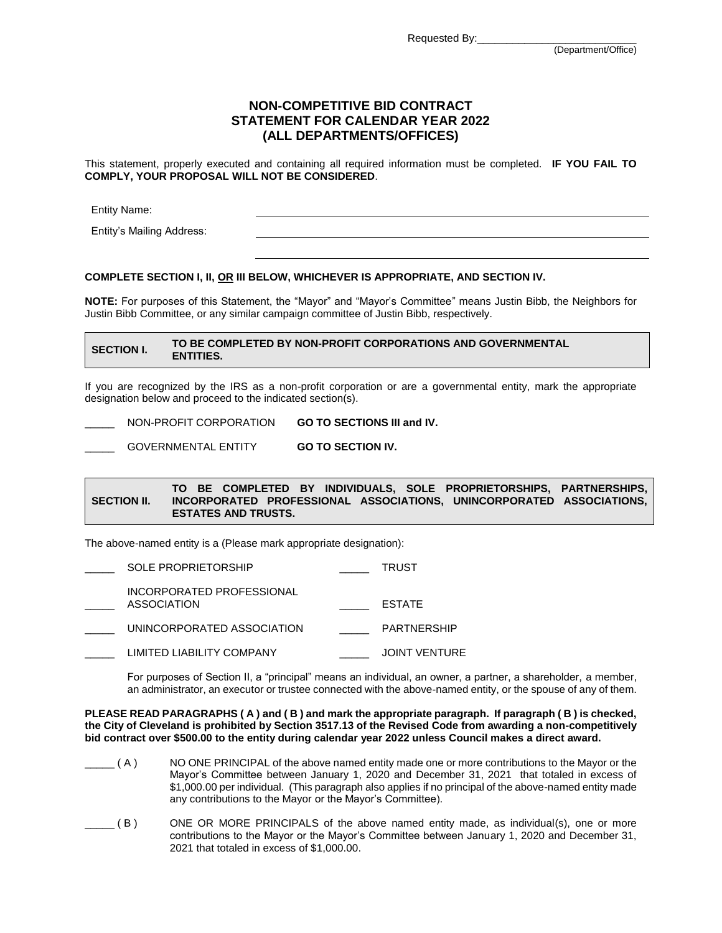Requested By:

# **NON-COMPETITIVE BID CONTRACT STATEMENT FOR CALENDAR YEAR 2022 (ALL DEPARTMENTS/OFFICES)**

This statement, properly executed and containing all required information must be completed. **IF YOU FAIL TO COMPLY, YOUR PROPOSAL WILL NOT BE CONSIDERED**.

Entity Name:

Entity's Mailing Address:

### **COMPLETE SECTION I, II, OR III BELOW, WHICHEVER IS APPROPRIATE, AND SECTION IV.**

**NOTE:** For purposes of this Statement, the "Mayor" and "Mayor's Committee" means Justin Bibb, the Neighbors for Justin Bibb Committee, or any similar campaign committee of Justin Bibb, respectively.

## **SECTION I. TO BE COMPLETED BY NON-PROFIT CORPORATIONS AND GOVERNMENTAL ENTITIES.**

If you are recognized by the IRS as a non-profit corporation or are a governmental entity, mark the appropriate designation below and proceed to the indicated section(s).

\_\_\_\_\_ NON-PROFIT CORPORATION **GO TO SECTIONS III and IV.**

GOVERNMENTAL ENTITY **GO TO SECTION IV.** 

#### **SECTION II. TO BE COMPLETED BY INDIVIDUALS, SOLE PROPRIETORSHIPS, PARTNERSHIPS, INCORPORATED PROFESSIONAL ASSOCIATIONS, UNINCORPORATED ASSOCIATIONS, ESTATES AND TRUSTS.**

The above-named entity is a (Please mark appropriate designation):

| SOLE PROPRIETORSHIP                      | TRUST                |
|------------------------------------------|----------------------|
| INCORPORATED PROFESSIONAL<br>ASSOCIATION | <b>FSTATE</b>        |
| UNINCORPORATED ASSOCIATION               | <b>PARTNERSHIP</b>   |
| LIMITED LIABILITY COMPANY                | <b>JOINT VENTURE</b> |

For purposes of Section II, a "principal" means an individual, an owner, a partner, a shareholder, a member, an administrator, an executor or trustee connected with the above-named entity, or the spouse of any of them.

**PLEASE READ PARAGRAPHS ( A ) and ( B ) and mark the appropriate paragraph. If paragraph ( B ) is checked, the City of Cleveland is prohibited by Section 3517.13 of the Revised Code from awarding a non-competitively bid contract over \$500.00 to the entity during calendar year 2022 unless Council makes a direct award.**

- $( A )$  NO ONE PRINCIPAL of the above named entity made one or more contributions to the Mayor or the Mayor's Committee between January 1, 2020 and December 31, 2021 that totaled in excess of \$1,000.00 per individual. (This paragraph also applies if no principal of the above-named entity made any contributions to the Mayor or the Mayor's Committee).
- \_\_\_\_\_ ( B ) ONE OR MORE PRINCIPALS of the above named entity made, as individual(s), one or more contributions to the Mayor or the Mayor's Committee between January 1, 2020 and December 31, 2021 that totaled in excess of \$1,000.00.